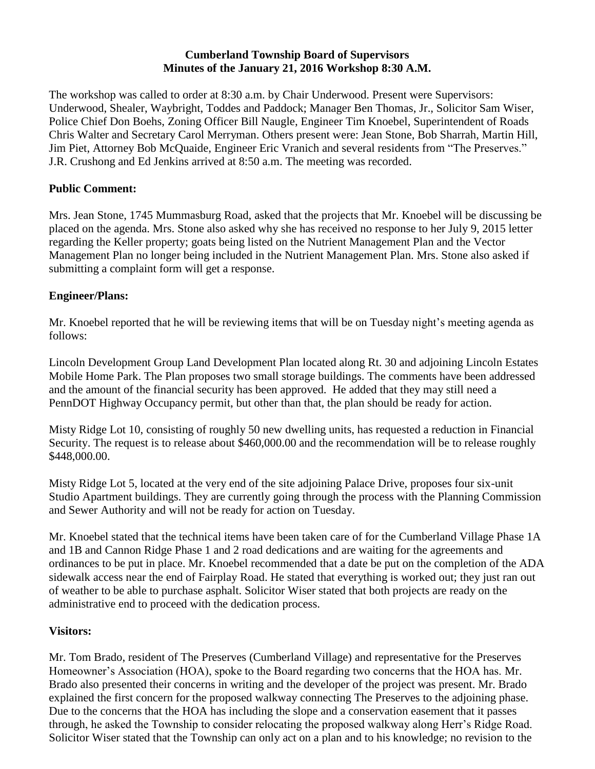## **Cumberland Township Board of Supervisors Minutes of the January 21, 2016 Workshop 8:30 A.M.**

The workshop was called to order at 8:30 a.m. by Chair Underwood. Present were Supervisors: Underwood, Shealer, Waybright, Toddes and Paddock; Manager Ben Thomas, Jr., Solicitor Sam Wiser, Police Chief Don Boehs, Zoning Officer Bill Naugle, Engineer Tim Knoebel, Superintendent of Roads Chris Walter and Secretary Carol Merryman. Others present were: Jean Stone, Bob Sharrah, Martin Hill, Jim Piet, Attorney Bob McQuaide, Engineer Eric Vranich and several residents from "The Preserves." J.R. Crushong and Ed Jenkins arrived at 8:50 a.m. The meeting was recorded.

## **Public Comment:**

Mrs. Jean Stone, 1745 Mummasburg Road, asked that the projects that Mr. Knoebel will be discussing be placed on the agenda. Mrs. Stone also asked why she has received no response to her July 9, 2015 letter regarding the Keller property; goats being listed on the Nutrient Management Plan and the Vector Management Plan no longer being included in the Nutrient Management Plan. Mrs. Stone also asked if submitting a complaint form will get a response.

## **Engineer/Plans:**

Mr. Knoebel reported that he will be reviewing items that will be on Tuesday night's meeting agenda as follows:

Lincoln Development Group Land Development Plan located along Rt. 30 and adjoining Lincoln Estates Mobile Home Park. The Plan proposes two small storage buildings. The comments have been addressed and the amount of the financial security has been approved. He added that they may still need a PennDOT Highway Occupancy permit, but other than that, the plan should be ready for action.

Misty Ridge Lot 10, consisting of roughly 50 new dwelling units, has requested a reduction in Financial Security. The request is to release about \$460,000.00 and the recommendation will be to release roughly \$448,000.00.

Misty Ridge Lot 5, located at the very end of the site adjoining Palace Drive, proposes four six-unit Studio Apartment buildings. They are currently going through the process with the Planning Commission and Sewer Authority and will not be ready for action on Tuesday.

Mr. Knoebel stated that the technical items have been taken care of for the Cumberland Village Phase 1A and 1B and Cannon Ridge Phase 1 and 2 road dedications and are waiting for the agreements and ordinances to be put in place. Mr. Knoebel recommended that a date be put on the completion of the ADA sidewalk access near the end of Fairplay Road. He stated that everything is worked out; they just ran out of weather to be able to purchase asphalt. Solicitor Wiser stated that both projects are ready on the administrative end to proceed with the dedication process.

## **Visitors:**

Mr. Tom Brado, resident of The Preserves (Cumberland Village) and representative for the Preserves Homeowner's Association (HOA), spoke to the Board regarding two concerns that the HOA has. Mr. Brado also presented their concerns in writing and the developer of the project was present. Mr. Brado explained the first concern for the proposed walkway connecting The Preserves to the adjoining phase. Due to the concerns that the HOA has including the slope and a conservation easement that it passes through, he asked the Township to consider relocating the proposed walkway along Herr's Ridge Road. Solicitor Wiser stated that the Township can only act on a plan and to his knowledge; no revision to the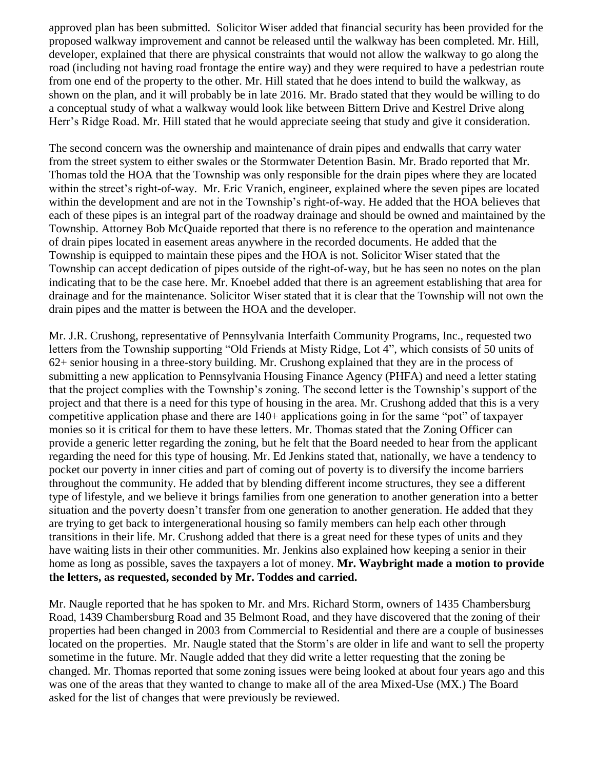approved plan has been submitted. Solicitor Wiser added that financial security has been provided for the proposed walkway improvement and cannot be released until the walkway has been completed. Mr. Hill, developer, explained that there are physical constraints that would not allow the walkway to go along the road (including not having road frontage the entire way) and they were required to have a pedestrian route from one end of the property to the other. Mr. Hill stated that he does intend to build the walkway, as shown on the plan, and it will probably be in late 2016. Mr. Brado stated that they would be willing to do a conceptual study of what a walkway would look like between Bittern Drive and Kestrel Drive along Herr's Ridge Road. Mr. Hill stated that he would appreciate seeing that study and give it consideration.

The second concern was the ownership and maintenance of drain pipes and endwalls that carry water from the street system to either swales or the Stormwater Detention Basin. Mr. Brado reported that Mr. Thomas told the HOA that the Township was only responsible for the drain pipes where they are located within the street's right-of-way. Mr. Eric Vranich, engineer, explained where the seven pipes are located within the development and are not in the Township's right-of-way. He added that the HOA believes that each of these pipes is an integral part of the roadway drainage and should be owned and maintained by the Township. Attorney Bob McQuaide reported that there is no reference to the operation and maintenance of drain pipes located in easement areas anywhere in the recorded documents. He added that the Township is equipped to maintain these pipes and the HOA is not. Solicitor Wiser stated that the Township can accept dedication of pipes outside of the right-of-way, but he has seen no notes on the plan indicating that to be the case here. Mr. Knoebel added that there is an agreement establishing that area for drainage and for the maintenance. Solicitor Wiser stated that it is clear that the Township will not own the drain pipes and the matter is between the HOA and the developer.

Mr. J.R. Crushong, representative of Pennsylvania Interfaith Community Programs, Inc., requested two letters from the Township supporting "Old Friends at Misty Ridge, Lot 4", which consists of 50 units of 62+ senior housing in a three-story building. Mr. Crushong explained that they are in the process of submitting a new application to Pennsylvania Housing Finance Agency (PHFA) and need a letter stating that the project complies with the Township's zoning. The second letter is the Township's support of the project and that there is a need for this type of housing in the area. Mr. Crushong added that this is a very competitive application phase and there are 140+ applications going in for the same "pot" of taxpayer monies so it is critical for them to have these letters. Mr. Thomas stated that the Zoning Officer can provide a generic letter regarding the zoning, but he felt that the Board needed to hear from the applicant regarding the need for this type of housing. Mr. Ed Jenkins stated that, nationally, we have a tendency to pocket our poverty in inner cities and part of coming out of poverty is to diversify the income barriers throughout the community. He added that by blending different income structures, they see a different type of lifestyle, and we believe it brings families from one generation to another generation into a better situation and the poverty doesn't transfer from one generation to another generation. He added that they are trying to get back to intergenerational housing so family members can help each other through transitions in their life. Mr. Crushong added that there is a great need for these types of units and they have waiting lists in their other communities. Mr. Jenkins also explained how keeping a senior in their home as long as possible, saves the taxpayers a lot of money. **Mr. Waybright made a motion to provide the letters, as requested, seconded by Mr. Toddes and carried.**

Mr. Naugle reported that he has spoken to Mr. and Mrs. Richard Storm, owners of 1435 Chambersburg Road, 1439 Chambersburg Road and 35 Belmont Road, and they have discovered that the zoning of their properties had been changed in 2003 from Commercial to Residential and there are a couple of businesses located on the properties. Mr. Naugle stated that the Storm's are older in life and want to sell the property sometime in the future. Mr. Naugle added that they did write a letter requesting that the zoning be changed. Mr. Thomas reported that some zoning issues were being looked at about four years ago and this was one of the areas that they wanted to change to make all of the area Mixed-Use (MX.) The Board asked for the list of changes that were previously be reviewed.